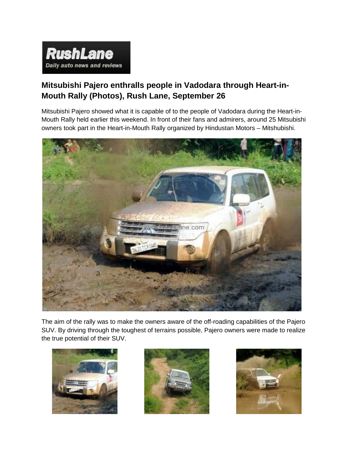

## **Mitsubishi Pajero enthralls people in Vadodara through Heart-in-Mouth Rally (Photos), Rush Lane, September 26**

Mitsubishi Pajero showed what it is capable of to the people of Vadodara during the Heart-in-Mouth Rally held earlier this weekend. In front of their fans and admirers, around 25 Mitsubishi owners took part in the Heart-in-Mouth Rally organized by Hindustan Motors – Mitshubishi.



The aim of the rally was to make the owners aware of the off-roading capabilities of the Pajero SUV. By driving through the toughest of terrains possible, Pajero owners were made to realize the true potential of their SUV.